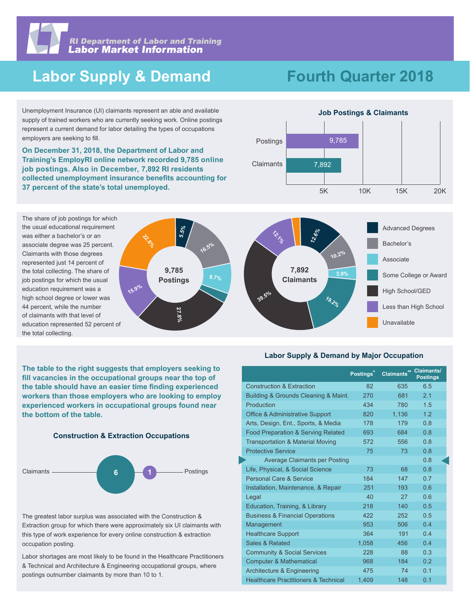

## **Labor Supply & Demand**

# **Fourth Quarter 2018**

Unemployment Insurance (UI) claimants represent an able and available supply of trained workers who are currently seeking work. Online postings represent a current demand for labor detailing the types of occupations employers are seeking to fill.

**On December 31, 2018, the Department of Labor and Training's EmployRI online network recorded 9,785 online job postings. Also in December, 7,892 RI residents collected unemployment insurance benefits accounting for 37 percent of the state's total unemployed.** 



The share of job postings for which the usual educational requirement was either a bachelor's or an associate degree was 25 percent. Claimants with those degrees represented just 14 percent of the total collecting. The share of job postings for which the usual education requirement was a high school degree or lower was 44 percent, while the number of claimants with that level of education represented 52 percent of the total collecting.



**The table to the right suggests that employers seeking to fill vacancies in the occupational groups near the top of the table should have an easier time finding experienced workers than those employers who are looking to employ experienced workers in occupational groups found near the bottom of the table.**





The greatest labor surplus was associated with the Construction & Extraction group for which there were approximately six UI claimants with this type of work experience for every online construction & extraction occupation posting.

Labor shortages are most likely to be found in the Healthcare Practitioners & Technical and Architecture & Engineering occupational groups, where postings outnumber claimants by more than 10 to 1.

#### **Labor Supply & Demand by Major Occupation**

|                                                 | Postings* | Claimants** Claimants/ | <b>Postings</b> |
|-------------------------------------------------|-----------|------------------------|-----------------|
| <b>Construction &amp; Extraction</b>            | 82        | 635                    | 6.5             |
| Building & Grounds Cleaning & Maint.            | 270       | 681                    | 2.1             |
| Production                                      | 434       | 780                    | 1.5             |
| <b>Office &amp; Administrative Support</b>      | 820       | 1.136                  | 1.2             |
| Arts, Design, Ent., Sports, & Media             | 178       | 179                    | 0.8             |
| Food Preparation & Serving Related              | 693       | 684                    | 0.8             |
| <b>Transportation &amp; Material Moving</b>     | 572       | 556                    | 0.8             |
| <b>Protective Service</b>                       | 75        | 73                     | 0.8             |
| <b>Average Claimants per Posting</b>            |           |                        | 0.8             |
| Life, Physical, & Social Science                | 73        | 68                     | 0.8             |
| <b>Personal Care &amp; Service</b>              | 184       | 147                    | 0.7             |
| Installation, Maintenance, & Repair             | 251       | 193                    | 0.6             |
| Legal                                           | 40        | 27                     | 0.6             |
| Education, Training, & Library                  | 218       | 140 <sup>°</sup>       | 0.5             |
| <b>Business &amp; Financial Operations</b>      | 422       | 252                    | 0.5             |
| Management                                      | 953       | 506                    | 0.4             |
| <b>Healthcare Support</b>                       | 364       | 191                    | 04              |
| Sales & Related                                 | 1,058     | 456                    | 0.4             |
| <b>Community &amp; Social Services</b>          | 228       | 88                     | 0.3             |
| <b>Computer &amp; Mathematical</b>              | 968       | 184                    | 0.2             |
| Architecture & Engineering                      | 475       | 74                     | 0.1             |
| <b>Healthcare Practitioners &amp; Technical</b> | 1,409     | 148                    | 0.1             |